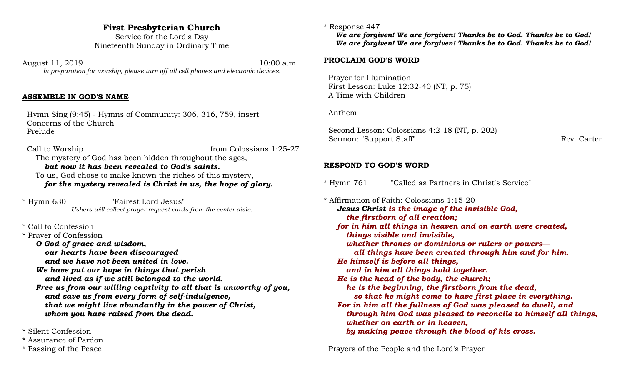# **First Presbyterian Church**

Service for the Lord's Day Nineteenth Sunday in Ordinary Time

August 11, 2019 10:00 a.m. *In preparation for worship, please turn off all cell phones and electronic devices.*

### **ASSEMBLE IN GOD'S NAME**

 Hymn Sing (9:45) - Hymns of Community: 306, 316, 759, insert Concerns of the Church Prelude

Call to Worship from Colossians 1:25-27 The mystery of God has been hidden throughout the ages, *but now it has been revealed to God's saints.* To us, God chose to make known the riches of this mystery, *for the mystery revealed is Christ in us, the hope of glory.*

\* Hymn 630 "Fairest Lord Jesus" *Ushers will collect prayer request cards from the center aisle.*

### \* Call to Confession

\* Prayer of Confession

*O God of grace and wisdom,*

*our hearts have been discouraged*

*and we have not been united in love.*

*We have put our hope in things that perish and lived as if we still belonged to the world.*

*Free us from our willing captivity to all that is unworthy of you, and save us from every form of self-indulgence, that we might live abundantly in the power of Christ, whom you have raised from the dead.*

\* Silent Confession

- \* Assurance of Pardon
- \* Passing of the Peace

#### \* Response 447

*We are forgiven! We are forgiven! Thanks be to God. Thanks be to God! We are forgiven! We are forgiven! Thanks be to God. Thanks be to God!*

#### **PROCLAIM GOD'S WORD**

 Prayer for Illumination First Lesson: Luke 12:32-40 (NT, p. 75) A Time with Children

Anthem

 Second Lesson: Colossians 4:2-18 (NT, p. 202) Sermon: "Support Staff" Rev. Carter

#### **RESPOND TO GOD'S WORD**

\* Hymn 761 "Called as Partners in Christ's Service"

\* Affirmation of Faith: Colossians 1:15-20 *Jesus Christ is the image of the invisible God, the firstborn of all creation; for in him all things in heaven and on earth were created, things visible and invisible, whether thrones or dominions or rulers or powers all things have been created through him and for him. He himself is before all things, and in him all things hold together. He is the head of the body, the church; he is the beginning, the firstborn from the dead, so that he might come to have first place in everything. For in him all the fullness of God was pleased to dwell, and through him God was pleased to reconcile to himself all things, whether on earth or in heaven, by making peace through the blood of his cross.*

Prayers of the People and the Lord's Prayer